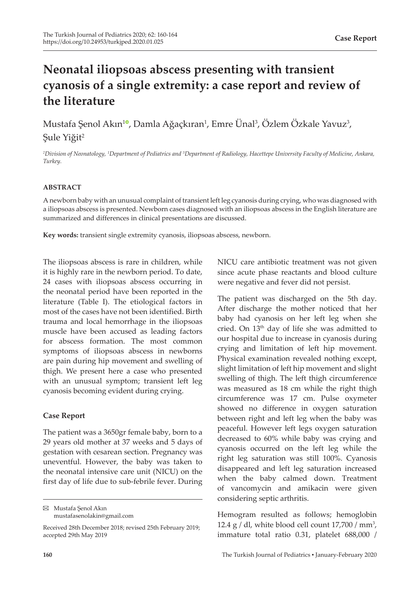# **Neonatal iliopsoas abscess presenting with transient cyanosis of a single extremity: a case report and review of the literature**

Mustafa Şenol Akın<sup>ıo</sup>[,](https://orcid.org/0000-0003-0055-8277) Damla Ağaçkıran<sup>ı</sup>, Emre Unal<sup>3</sup>, Ozlem Ozkale Yavuz<sup>3</sup>, Şule Yiğit<sup>2</sup>

*2 Division of Neonatology, <sup>1</sup> Department of Pediatrics and <sup>3</sup> Department of Radiology, Hacettepe University Faculty of Medicine, Ankara, Turkey.*

### **ABSTRACT**

A newborn baby with an unusual complaint of transient left leg cyanosis during crying, who was diagnosed with a iliopsoas abscess is presented. Newborn cases diagnosed with an iliopsoas abscess in the English literature are summarized and differences in clinical presentations are discussed.

**Key words:** transient single extremity cyanosis, iliopsoas abscess, newborn.

The iliopsoas abscess is rare in children, while it is highly rare in the newborn period. To date, 24 cases with iliopsoas abscess occurring in the neonatal period have been reported in the literature (Table I). The etiological factors in most of the cases have not been identified. Birth trauma and local hemorrhage in the iliopsoas muscle have been accused as leading factors for abscess formation. The most common symptoms of iliopsoas abscess in newborns are pain during hip movement and swelling of thigh. We present here a case who presented with an unusual symptom; transient left leg cyanosis becoming evident during crying.

### **Case Report**

The patient was a 3650gr female baby, born to a 29 years old mother at 37 weeks and 5 days of gestation with cesarean section. Pregnancy was uneventful. However, the baby was taken to the neonatal intensive care unit (NICU) on the first day of life due to sub-febrile fever. During

Mustafa Şenol Akın mustafasenolakin@gmail.com NICU care antibiotic treatment was not given since acute phase reactants and blood culture were negative and fever did not persist.

The patient was discharged on the 5th day. After discharge the mother noticed that her baby had cyanosis on her left leg when she cried. On 13th day of life she was admitted to our hospital due to increase in cyanosis during crying and limitation of left hip movement. Physical examination revealed nothing except, slight limitation of left hip movement and slight swelling of thigh. The left thigh circumference was measured as 18 cm while the right thigh circumference was 17 cm. Pulse oxymeter showed no difference in oxygen saturation between right and left leg when the baby was peaceful. However left legs oxygen saturation decreased to 60% while baby was crying and cyanosis occurred on the left leg while the right leg saturation was still 100%. Cyanosis disappeared and left leg saturation increased when the baby calmed down. Treatment of vancomycin and amikacin were given considering septic arthritis.

Hemogram resulted as follows; hemoglobin 12.4  $g$  / dl, white blood cell count 17,700 / mm<sup>3</sup>, immature total ratio 0.31, platelet 688,000 /

Received 28th December 2018; revised 25th February 2019; accepted 29th May 2019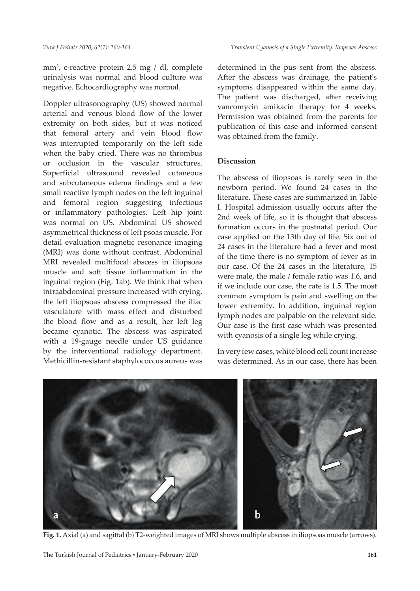mm<sup>3</sup> , c-reactive protein 2,5 mg / dl, complete urinalysis was normal and blood culture was negative. Echocardiography was normal.

Doppler ultrasonography (US) showed normal arterial and venous blood flow of the lower extremity on both sides, but it was noticed that femoral artery and vein blood flow was interrupted temporarily on the left side when the baby cried. There was no thrombus or occlusion in the vascular structures. Superficial ultrasound revealed cutaneous and subcutaneous edema findings and a few small reactive lymph nodes on the left inguinal and femoral region suggesting infectious or inflammatory pathologies. Left hip joint was normal on US. Abdominal US showed asymmetrical thickness of left psoas muscle. For detail evaluation magnetic resonance imaging (MRI) was done without contrast. Abdominal MRI revealed multifocal abscess in iliopsoas muscle and soft tissue inflammation in the inguinal region (Fig. 1ab). We think that when intraabdominal pressure increased with crying, the left iliopsoas abscess compressed the iliac vasculature with mass effect and disturbed the blood flow and as a result, her left leg became cyanotic. The abscess was aspirated with a 19-gauge needle under US guidance by the interventional radiology department. Methicillin-resistant staphylococcus aureus was

determined in the pus sent from the abscess. After the abscess was drainage, the patient's symptoms disappeared within the same day. The patient was discharged, after receiving vancomycin amikacin therapy for 4 weeks. Permission was obtained from the parents for publication of this case and informed consent was obtained from the family.

## **Discussion**

The abscess of iliopsoas is rarely seen in the newborn period. We found 24 cases in the literature. These cases are summarized in Table I. Hospital admission usually occurs after the 2nd week of life, so it is thought that abscess formation occurs in the postnatal period. Our case applied on the 13th day of life. Six out of 24 cases in the literature had a fever and most of the time there is no symptom of fever as in our case. Of the 24 cases in the literature, 15 were male, the male / female ratio was 1.6, and if we include our case, the rate is 1.5. The most common symptom is pain and swelling on the lower extremity. In addition, inguinal region lymph nodes are palpable on the relevant side. Our case is the first case which was presented with cyanosis of a single leg while crying.

In very few cases, white blood cell count increase was determined. As in our case, there has been



**Fig. 1.** Axial (a) and sagittal (b) T2-weighted images of MRI shows multiple abscess in iliopsoas muscle (arrows).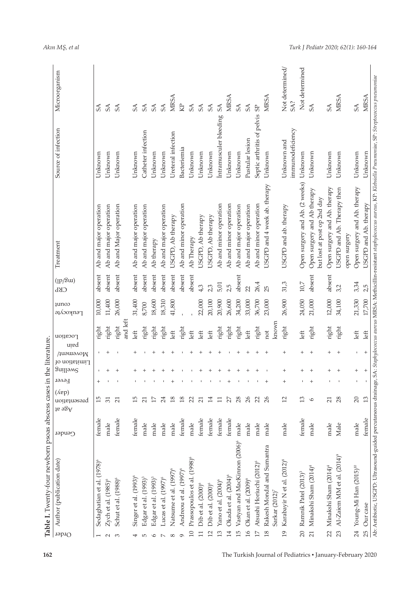| Order    | Author (publication date)                                | Gender | $(\text{Aep})$<br>uouequasaid<br>46.98A | Fever | Limitation of<br>Suillowe | uned<br>/hnoment/ | Location          | <b>uno</b><br>Fenkochte | $(\mathrm{p}/\mathrm{3u})$<br><b>CKP</b> | Treatment                                                  | Source of infection             | Microorganism          |
|----------|----------------------------------------------------------|--------|-----------------------------------------|-------|---------------------------|-------------------|-------------------|-------------------------|------------------------------------------|------------------------------------------------------------|---------------------------------|------------------------|
|          | Sedaghatian et al. (1978) <sup>6</sup>                   | female | 15                                      |       |                           |                   | right             | 10,000                  | absent                                   | Ab and major operation                                     | Unknown                         | S <sub>A</sub>         |
| $\sim$   | $Zych$ et al. $(1985)^6$                                 | male   | $\overline{31}$                         |       |                           |                   | right             | 11,400                  | absent                                   | Ab and major operation                                     | Unknown                         | S <sub>A</sub>         |
| S        | Schut et al. (1988) <sup>6</sup>                         | female | 21                                      |       |                           |                   | and left<br>right | 26,000                  | absent                                   | Ab and Major operation                                     | Unknown                         | $S\Lambda$             |
| 4        | Singer et al. (1993) <sup>6</sup>                        | female | 15                                      |       |                           |                   | left              | 31,400                  | absent                                   | Ab and major operation                                     | Unknown                         | S <sub>A</sub>         |
| S        | Edgar et al. (1993) <sup>3</sup>                         | male   | 21                                      |       |                           |                   | right             | 8,700                   | absent                                   | Ab and major operation                                     | Catheter infection              | S <sub>A</sub>         |
| $\circ$  | Edgar et al. (1993) <sup>3</sup>                         | male   | $\overline{17}$                         |       |                           |                   | right             | 18,600                  | absent                                   | Ab therapy                                                 | Unknown                         | S <sub>A</sub>         |
|          | Lucas et al. (1997) <sup>6</sup>                         | male   | 24                                      |       |                           |                   | right             | 18,310                  | absent                                   | Ab and major operation                                     | Unknown                         | S <sub>A</sub>         |
| 8        | Natsume et al. (1997) <sup>6</sup>                       | male   | $18\,$                                  |       |                           |                   | left              | 41,800                  | absent                                   | USGPD, Ab therapy                                          | Ureteral infection              | <b>MRSA</b>            |
| $\sigma$ | Andreou et al. (1997) <sup>6</sup>                       | female | $18\,$                                  |       |                           |                   | right             |                         | absent                                   | Ab and minor operation                                     | Bacteriemia                     | $\beta$                |
| 10       | Prassopoulos et al. (1998) <sup>6</sup>                  | male   | 22                                      |       |                           |                   | left              |                         | absent                                   | Ab Therapy                                                 | Unknown                         | S <sub>A</sub>         |
| $\Box$   | $Dib$ et al. $(2000)^6$                                  | female | 21                                      |       |                           |                   | left              | 22,000                  | 4,3                                      | USGPD, Ab therapy                                          | Unknown                         | S <sub>A</sub>         |
| 12       | Dib et al. (2000) <sup>6</sup>                           | female | $\overline{14}$                         |       |                           |                   | left              | 20,100                  | 2,3                                      | USGPD, Ab therapy                                          | Unknown                         | $S\Lambda$             |
| 13       | Yano et al. (2004) <sup>6</sup>                          | female | $\Box$                                  |       |                           |                   | right             | 20,900                  | 5,01                                     | Ab and minor operation                                     | intramusculer bleeding          | SA                     |
| 14       | Okada et al. (2004) <sup>6</sup>                         | female | $\overline{27}$                         |       |                           |                   | right             | 26,600                  | 2,5                                      | Ab and minor operation                                     | Unknown                         | <b>MRSA</b>            |
| 15       | Vastyan and MacKinnon (2006) <sup>6</sup>                | male   | 28                                      |       |                           |                   | right             | 34,200                  | absent                                   | Ab and major operation                                     | Unknown                         | S <sub>A</sub>         |
| 16       | Okan et al. (2009) <sup>6</sup>                          | male   | 26                                      |       |                           |                   | left              | 33,000                  | 22                                       | Ab and major operation                                     | Pustular lesion                 | S <sub>A</sub>         |
| 17       | Atsushi Horiuchi (2012) <sup>6</sup>                     | male   | 22                                      |       |                           |                   | right             | 36,700                  | 26,4                                     | Ab and minor operation                                     | Septic arthritis of pelvis      | S <sub>P</sub>         |
| 18       | Rakesh Mondal and Sumantra<br>Sarkar (2012) <sup>7</sup> | male   | 26                                      |       |                           |                   | known<br>not      | 23,000                  | 25                                       | USGPD and 4 week ab. therapy                               | Unknown                         | <b>MRSA</b>            |
| 19       | Karabayir N et al. (2012) <sup>8</sup>                   | male   | $\overline{12}$                         |       |                           | $\overline{ }$    | right             | 26,900                  | 31,3                                     | USGPD and ab. therapy                                      | immunodeficiency<br>Unknown and | Not determined/<br>SA? |
| 20       | Ramnik Patel (2013) <sup>3</sup>                         | female | $13$                                    |       |                           | $\,{}^{+}\,$      | left              | 24,050                  | $10\,7$                                  | Open surgery and Ab. (2 weeks)                             | Unknown                         | Not determined         |
| 21       | Minakshi Sham (2014) <sup>4</sup>                        | male   | $\circ$                                 |       |                           |                   | right             | 21,000                  | absent                                   | Open surgery and Ab therapy<br>but lost at post op 2nd day | Unknown                         | SA                     |
| 22       | Minakshi Sham (2014) <sup>4</sup>                        | male   | 21                                      |       |                           |                   | right             | 12,000                  | absent                                   | Open surgery and Ab. therapy                               | Unknown                         | SA                     |
| 23       | Al-Zaiem MM et al. (2014) <sup>9</sup>                   | Male   | 28                                      |       |                           |                   | right             | 34,100                  | 3,2                                      | USGPD and Ab. Therapy then                                 | Unknown                         | <b>MRSA</b>            |
|          |                                                          |        |                                         |       |                           |                   |                   |                         |                                          | open surgery                                               |                                 |                        |
|          | 24 Young-Mi Han (2015) <sup>10</sup>                     | male   | 20                                      |       |                           | $\mathbf{I}$      | $_{\rm left}$     | 21,330                  | 3,34                                     | Open surgery and Ab. therapy                               | Unknown                         | SA                     |
| 25       | Our case                                                 | female | $13$                                    |       | $\ddot{}$                 | $^{+}$            | left              | 17,700                  | 2,5                                      | USGPD and Ab. therapy                                      | Unknown                         | <b>MRSA</b>            |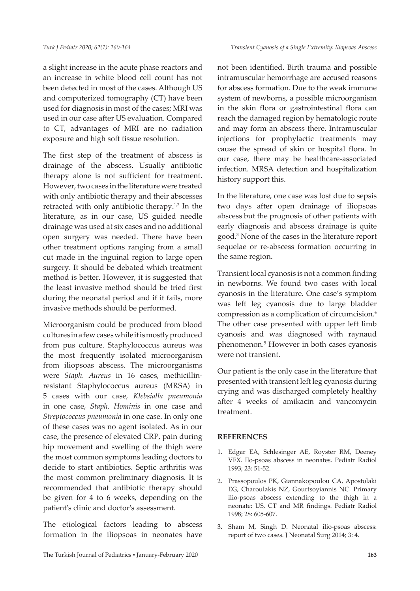a slight increase in the acute phase reactors and an increase in white blood cell count has not been detected in most of the cases. Although US and computerized tomography (CT) have been used for diagnosis in most of the cases; MRI was used in our case after US evaluation. Compared to CT, advantages of MRI are no radiation exposure and high soft tissue resolution.

The first step of the treatment of abscess is drainage of the abscess. Usually antibiotic therapy alone is not sufficient for treatment. However, two cases in the literature were treated with only antibiotic therapy and their abscesses retracted with only antibiotic therapy.<sup>1,2</sup> In the literature, as in our case, US guided needle drainage was used at six cases and no additional open surgery was needed. There have been other treatment options ranging from a small cut made in the inguinal region to large open surgery. It should be debated which treatment method is better. However, it is suggested that the least invasive method should be tried first during the neonatal period and if it fails, more invasive methods should be performed.

Microorganism could be produced from blood cultures in a few cases while it is mostly produced from pus culture. Staphylococcus aureus was the most frequently isolated microorganism from iliopsoas abscess. The microorganisms were *Staph. Aureus* in 16 cases, methicillinresistant Staphylococcus aureus (MRSA) in 5 cases with our case, *Klebsialla pneumonia*  in one case, *Staph. Hominis* in one case and *Streptococcus pneumonia* in one case. In only one of these cases was no agent isolated. As in our case, the presence of elevated CRP, pain during hip movement and swelling of the thigh were the most common symptoms leading doctors to decide to start antibiotics. Septic arthritis was the most common preliminary diagnosis. It is recommended that antibiotic therapy should be given for 4 to 6 weeks, depending on the patient's clinic and doctor's assessment.

The etiological factors leading to abscess formation in the iliopsoas in neonates have not been identified. Birth trauma and possible intramuscular hemorrhage are accused reasons for abscess formation. Due to the weak immune system of newborns, a possible microorganism in the skin flora or gastrointestinal flora can reach the damaged region by hematologic route and may form an abscess there. Intramuscular injections for prophylactic treatments may cause the spread of skin or hospital flora. In our case, there may be healthcare-associated infection. MRSA detection and hospitalization history support this.

In the literature, one case was lost due to sepsis two days after open drainage of iliopsoas abscess but the prognosis of other patients with early diagnosis and abscess drainage is quite good.<sup>3</sup> None of the cases in the literature report sequelae or re-abscess formation occurring in the same region.

Transient local cyanosis is not a common finding in newborns. We found two cases with local cyanosis in the literature. One case's symptom was left leg cyanosis due to large bladder compression as a complication of circumcision.<sup>4</sup> The other case presented with upper left limb cyanosis and was diagnosed with raynaud phenomenon.<sup>5</sup> However in both cases cyanosis were not transient.

Our patient is the only case in the literature that presented with transient left leg cyanosis during crying and was discharged completely healthy after 4 weeks of amikacin and vancomycin treatment.

### **REFERENCES**

- 1. Edgar EA, Schlesinger AE, Royster RM, Deeney VFX. Ilo-psoas abscess in neonates. Pediatr Radiol 1993; 23: 51-52.
- 2. Prassopoulos PK, Giannakopoulou CA, Apostolaki EG, Charoulakis NZ, Gourtsoyiannis NC. Primary ilio-psoas abscess extending to the thigh in a neonate: US, CT and MR findings. Pediatr Radiol 1998; 28: 605-607.
- 3. Sham M, Singh D. Neonatal ilio-psoas abscess: report of two cases. J Neonatal Surg 2014; 3: 4.